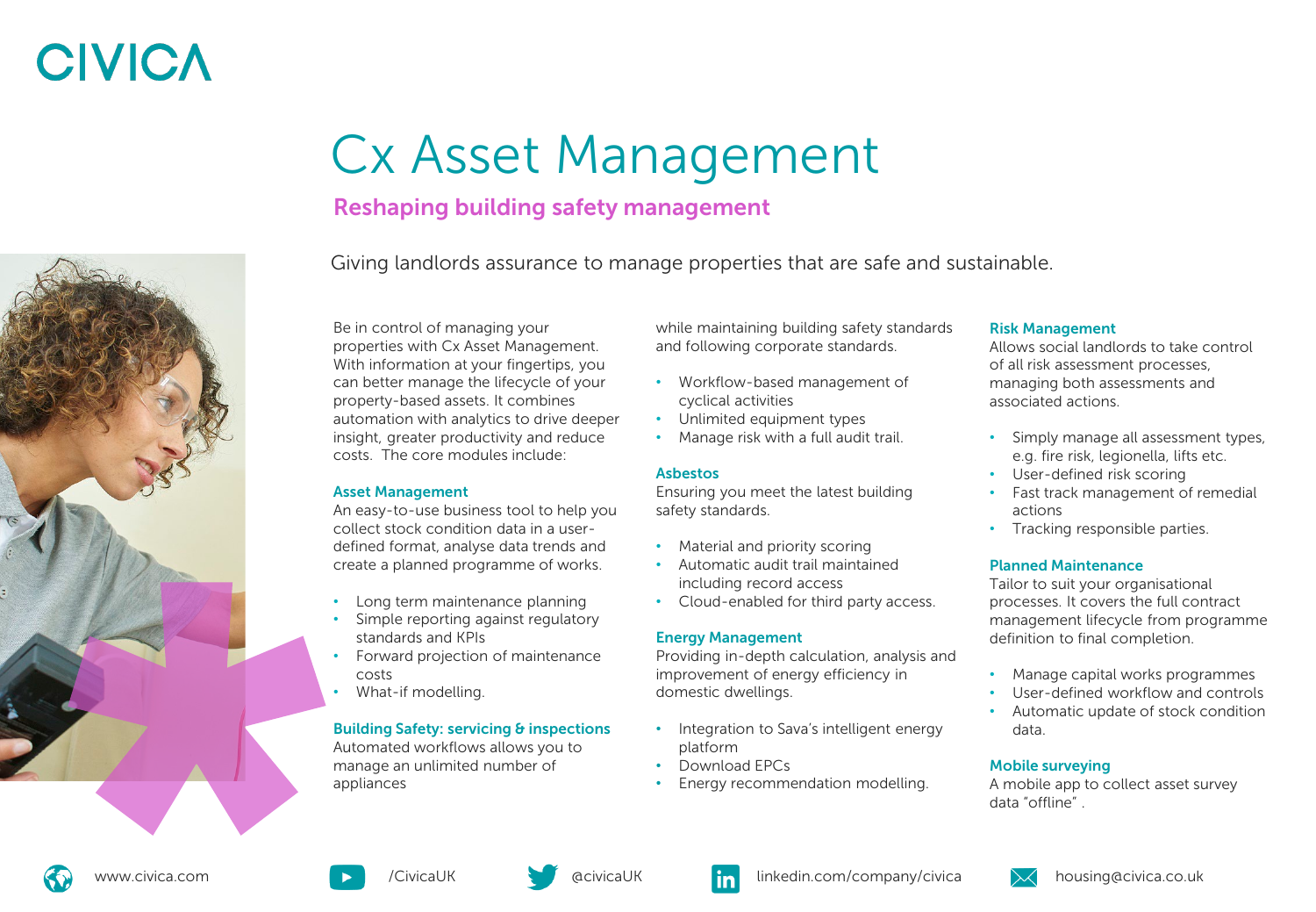# **CIVICA**

## Cx Asset Management

## Reshaping building safety management

Giving landlords assurance to manage properties that are safe and sustainable.

Be in control of managing your properties with Cx Asset Management. With information at your fingertips, you can better manage the lifecycle of your property-based assets. It combines automation with analytics to drive deeper insight, greater productivity and reduce costs. The core modules include:

### Asset Management

An easy-to-use business tool to help you collect stock condition data in a userdefined format, analyse data trends and create a planned programme of works.

- Long term maintenance planning
- Simple reporting against regulatory standards and KPIs
- Forward projection of maintenance costs
- What-if modelling.

### Building Safety: servicing & inspections

Automated workflows allows you to manage an unlimited number of appliances

while maintaining building safety standards and following corporate standards.

- Workflow-based management of cyclical activities
- Unlimited equipment types
- Manage risk with a full audit trail.

### Asbestos

Ensuring you meet the latest building safety standards.

- Material and priority scoring
- Automatic audit trail maintained including record access
- Cloud-enabled for third party access.

### Energy Management

Providing in-depth calculation, analysis and improvement of energy efficiency in domestic dwellings.

- Integration to Sava's intelligent energy platform
- Download EPCs
- Energy recommendation modelling.

### Risk Management

Allows social landlords to take control of all risk assessment processes, managing both assessments and associated actions.

- Simply manage all assessment types, e.g. fire risk, legionella, lifts etc.
- User-defined risk scoring
- Fast track management of remedial actions
- Tracking responsible parties.

### Planned Maintenance

Tailor to suit your organisational processes. It covers the full contract management lifecycle from programme definition to final completion.

- Manage capital works programmes
- User-defined workflow and controls
- Automatic update of stock condition data.

### Mobile surveying

A mobile app to collect asset survey data "offline" .